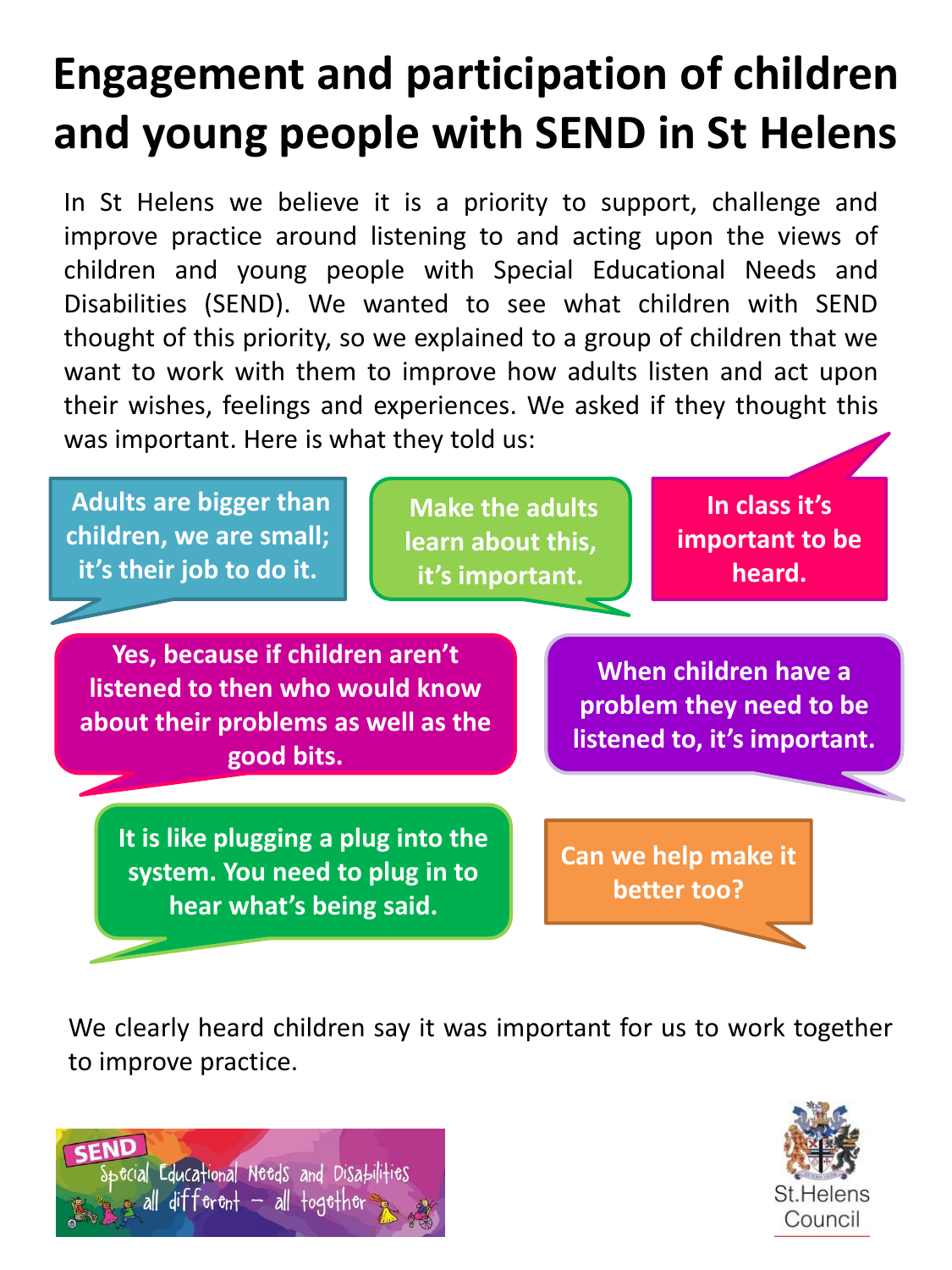# **Engagement and participation of children and young people with SEND in St Helens**

In St Helens we believe it is a priority to support, challenge and improve practice around listening to and acting upon the views of children and young people with Special Educational Needs and Disabilities (SEND). We wanted to see what children with SEND thought of this priority, so we explained to a group of children that we want to work with them to improve how adults listen and act upon their wishes, feelings and experiences. We asked if they thought this was important. Here is what they told us:

**Adults are bigger than children, we are small; it's their job to do it.**

**Make the adults learn about this, it's important.**

**In class it's important to be heard.**

**Yes, because if children aren't listened to then who would know about their problems as well as the good bits.**

**It is like plugging a plug into the system. You need to plug in to hear what's being said.**

**When children have a problem they need to be listened to, it's important.**

**Can we help make it better too?**

We clearly heard children say it was important for us to work together to improve practice.